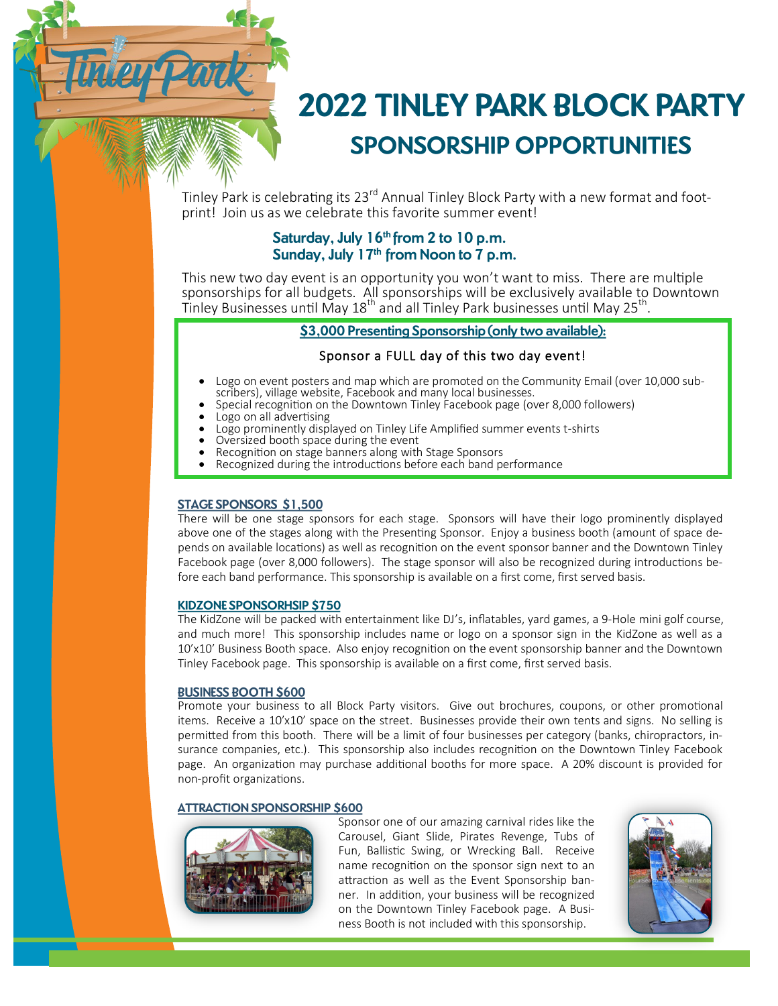

Tinley Park is celebrating its 23<sup>rd</sup> Annual Tinley Block Party with a new format and footprint! Join us as we celebrate this favorite summer event!

# Saturday, July 16<sup>th</sup> from 2 to 10 p.m. Sunday, July 17th from Noon to 7 p.m.

This new two day event is an opportunity you won't want to miss. There are multiple sponsorships for all budgets. All sponsorships will be exclusively available to Downtown Tinley Businesses until May  $18<sup>th</sup>$  and all Tinley Park businesses until May 25<sup>th</sup>.

# \$3,000 Presenting Sponsorship (only two available):

## Sponsor a FULL day of this two day event!

- Logo on event posters and map which are promoted on the Community Email (over 10,000 sub-<br>scribers), village website, Facebook and many local businesses.
- Special recognition on the Downtown Tinley Facebook page (over 8,000 followers)<br>Logo on all advertising<br>Logo prominently displayed on Tinley Life Amplified summer events t-shirts<br>Oversized booth space during the event<br>Reco
- 
- 
- 
- 
- 

#### **STAGE SPONSORS \$1,500**

There will be one stage sponsors for each stage. Sponsors will have their logo prominently displayed above one of the stages along with the Presenting Sponsor. Enjoy a business booth (amount of space depends on available locations) as well as recognition on the event sponsor banner and the Downtown Tinley Facebook page (over 8,000 followers). The stage sponsor will also be recognized during introductions before each band performance. This sponsorship is available on a first come, first served basis.

#### **KIDZONE SPONSORHSIP \$750**

The KidZone will be packed with entertainment like DJ's, inflatables, yard games, a 9-Hole mini golf course, and much more! This sponsorship includes name or logo on a sponsor sign in the KidZone as well as a 10'x10' Business Booth space. Also enjoy recognition on the event sponsorship banner and the Downtown Tinley Facebook page. This sponsorship is available on a first come, first served basis.

## **BUSINESS BOOTH \$600**

Promote your business to all Block Party visitors. Give out brochures, coupons, or other promotional items. Receive a 10'x10' space on the street. Businesses provide their own tents and signs. No selling is permitted from this booth. There will be a limit of four businesses per category (banks, chiropractors, insurance companies, etc.). This sponsorship also includes recognition on the Downtown Tinley Facebook page. An organization may purchase additional booths for more space. A 20% discount is provided for non-profit organizations.

#### **ATTRACTION SPONSORSHIP \$600**



Sponsor one of our amazing carnival rides like the Carousel, Giant Slide, Pirates Revenge, Tubs of Fun, Ballistic Swing, or Wrecking Ball. Receive name recognition on the sponsor sign next to an attraction as well as the Event Sponsorship banner. In addition, your business will be recognized on the Downtown Tinley Facebook page. A Business Booth is not included with this sponsorship.